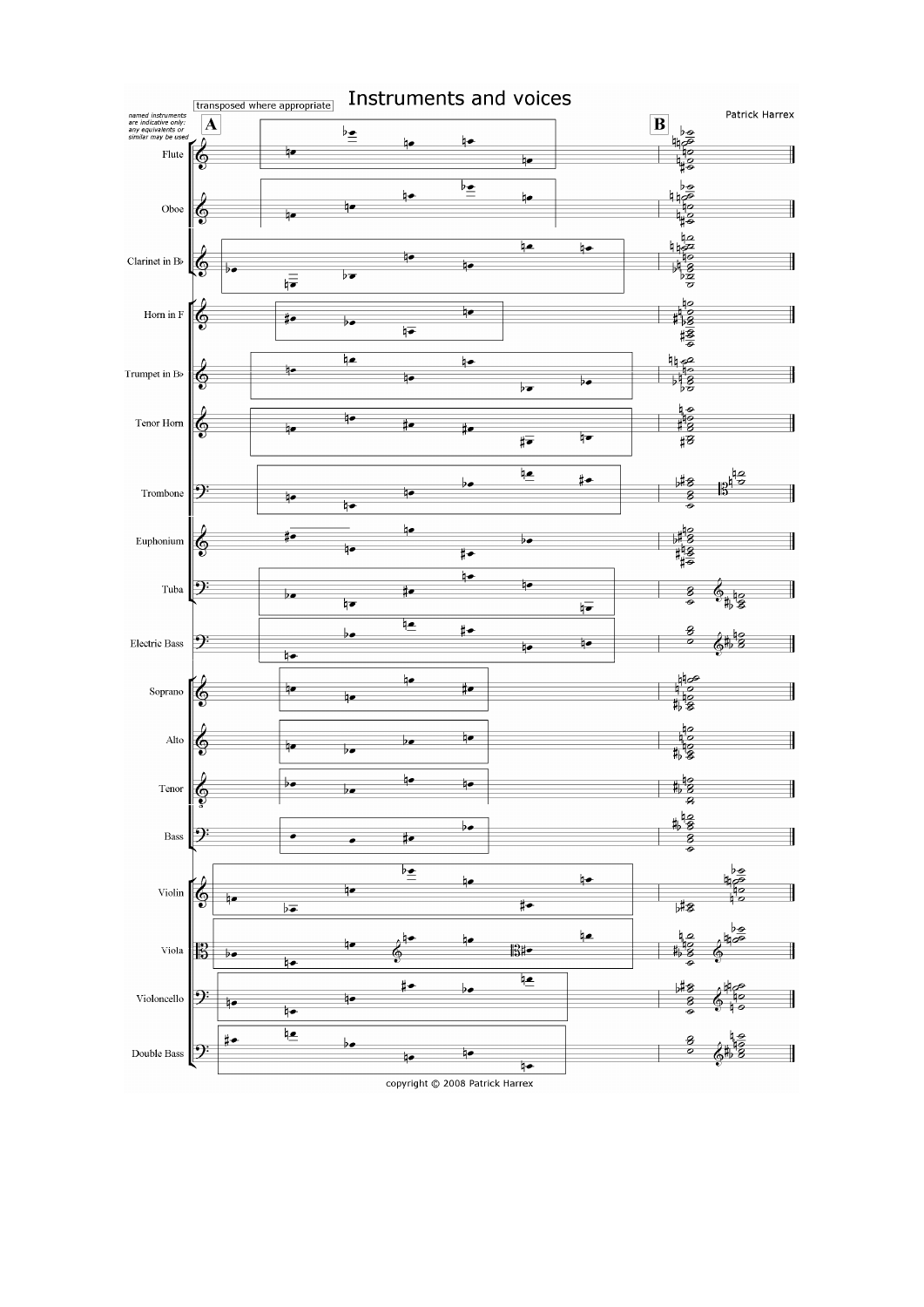